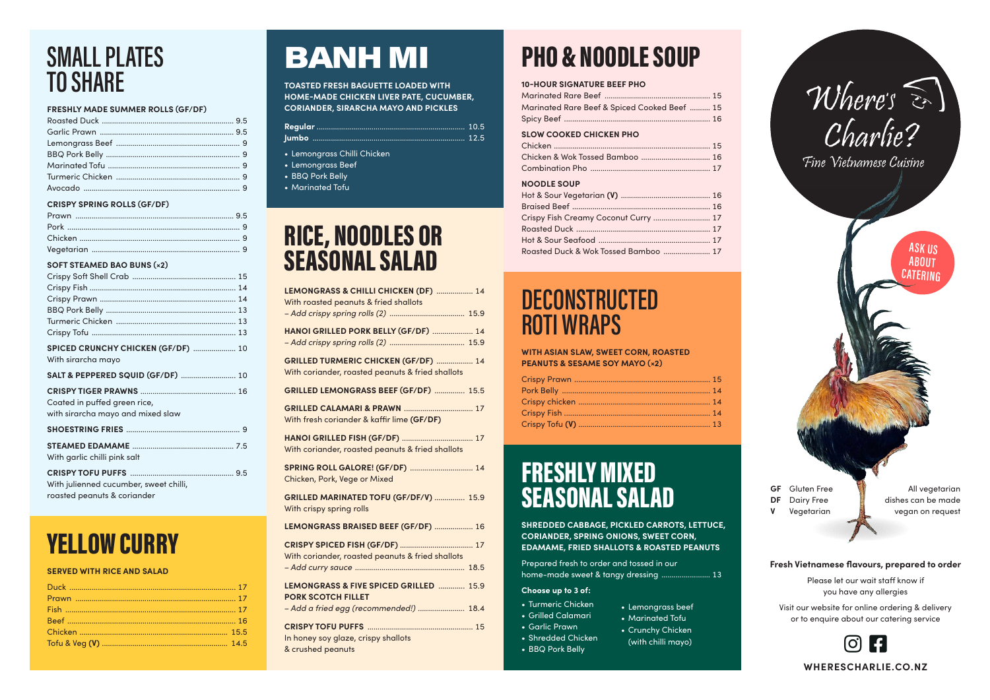## SMALL PLATES TO SHARE

#### **FRESHLY MADE SUMMER ROLLS (GF/DF)**

### **CRISPY SPRING ROLLS (GF/DF)**

### **SOFT STEAMED BAO BUNS (×2)**

| SPICED CRUNCHY CHICKEN (GF/DF)  10<br>With sirarcha mayo |  |
|----------------------------------------------------------|--|
| SALT & PEPPERED SQUID (GF/DF)  10                        |  |
|                                                          |  |
| Coated in puffed green rice,                             |  |
| with sirarcha mayo and mixed slaw                        |  |
|                                                          |  |
|                                                          |  |
| With garlic chilli pink salt                             |  |
|                                                          |  |
| With julienned cucumber, sweet chilli,                   |  |

roasted peanuts & coriander

## YELLOW CURRY

### **SERVED WITH RICE AND SALAD**

# BANH MI

**TOASTED FRESH BAGUETTE LOADED WITH HOME-MADE CHICKEN LIVER PATE, CUCUMBER, CORIANDER, SIRARCHA MAYO AND PICKLES**

- Lemongrass Chilli Chicken
- Lemongrass Beef
- BBQ Pork Belly
- Marinated Tofu

## RICE, NOODLES OR SEASONAL SALAD



| LEMONGRASS & CHILLI CHICKEN (DF)  14<br>With roasted peanuts & fried shallots            |
|------------------------------------------------------------------------------------------|
|                                                                                          |
| HANOI GRILLED PORK BELLY (GF/DF)  14                                                     |
| GRILLED TURMERIC CHICKEN (GF/DF)  14<br>With coriander, roasted peanuts & fried shallots |
| GRILLED LEMONGRASS BEEF (GF/DF)  15.5                                                    |
| With fresh coriander & kaffir lime (GF/DF)                                               |
| With coriander, roasted peanuts & fried shallots                                         |
| SPRING ROLL GALORE! (GF/DF)  14<br>Chicken, Pork, Vege or Mixed                          |
| GRILLED MARINATED TOFU (GF/DF/V)  15.9<br>With crispy spring rolls                       |
| LEMONGRASS BRAISED BEEF (GF/DF)  16                                                      |
| With coriander, roasted peanuts & fried shallots                                         |
|                                                                                          |
| LEMONGRASS & FIVE SPICED GRILLED  15.9<br><b>PORK SCOTCH FILLET</b>                      |
| - Add a fried egg (recommended!)  18.4                                                   |
| In honey soy glaze, crispy shallots<br>& crushed peanuts                                 |

## PHO & NOODLE SOUP

### **10-HOUR SIGNATURE BEEF PHO**

| Marinated Rare Beef & Spiced Cooked Beef  15 |  |
|----------------------------------------------|--|
|                                              |  |

### **SLOW COOKED CHICKEN PHO**

### **NOODLE SOUP**

| Crispy Fish Creamy Coconut Curry  17 |  |
|--------------------------------------|--|
|                                      |  |
|                                      |  |
| Roasted Duck & Wok Tossed Bamboo  17 |  |

### DECONSTRUCTED ROTI WRAPS

**WITH ASIAN SLAW, SWEET CORN, ROASTED PEANUTS & SESAME SOY MAYO (×2)**

**WHERESCHARLIE.CO.NZ**



### **Fresh Vietnamese flavours, prepared to order**

Please let our wait staff know if you have any allergies

Visit our website for online ordering & delivery or to enquire about our catering service

## FRESHLY MIXED SEASONAL SALAD

**SHREDDED CABBAGE, PICKLED CARROTS, LETTUCE, CORIANDER, SPRING ONIONS, SWEET CORN, EDAMAME, FRIED SHALLOTS & ROASTED PEANUTS**

Prepared fresh to order and tossed in our home-made sweet & tangy dressing ........................ 13

### **Choose up to 3 of:**

- Turmeric Chicken
- Grilled Calamari
- Garlic Prawn
- Shredded Chicken
- BBQ Pork Belly
- Lemongrass beef
- Marinated Tofu
- Crunchy Chicken (with chilli mayo)